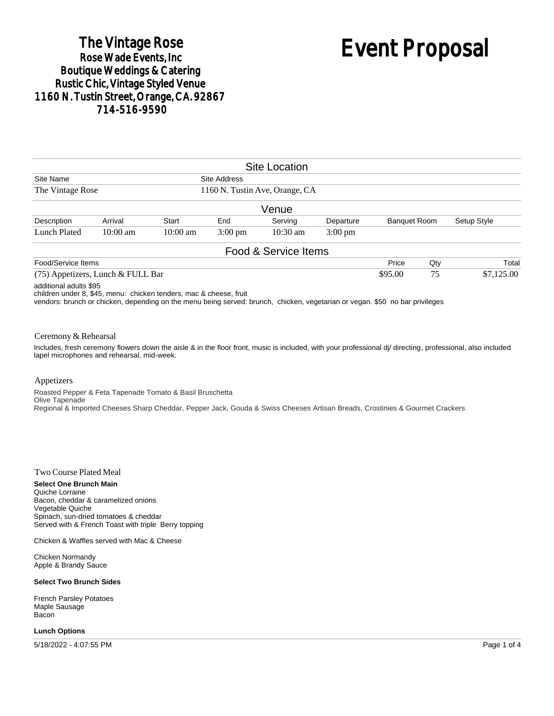## The Vintage Rose<br>Rose Wade Events, Inc **Boutique Weddings & Catering Rustic Chic, Vintage Styled Venue** 1160 N. Tustin Street, Orange, CA. 92867 714-516-9590

# Event Proposal

|                               |                                     |                    |                                                | <b>Site Location</b> |                   |                     |     |             |
|-------------------------------|-------------------------------------|--------------------|------------------------------------------------|----------------------|-------------------|---------------------|-----|-------------|
| Site Name<br>The Vintage Rose |                                     |                    | Site Address<br>1160 N. Tustin Ave, Orange, CA |                      |                   |                     |     |             |
|                               |                                     |                    |                                                |                      |                   |                     |     |             |
|                               |                                     |                    |                                                | Venue                |                   |                     |     |             |
| Description                   | Arrival                             | <b>Start</b>       | End                                            | Serving              | Departure         | <b>Banquet Room</b> |     | Setup Style |
| Lunch Plated                  | $10:00 \text{ am}$                  | $10:00 \text{ am}$ | $3:00 \text{ pm}$                              | $10:30 \text{ am}$   | $3:00 \text{ pm}$ |                     |     |             |
|                               |                                     |                    |                                                | Food & Service Items |                   |                     |     |             |
| Food/Service Items            |                                     |                    |                                                |                      |                   | Price               | Qty | Total       |
|                               | $(75)$ Appetizers, Lunch & FULL Bar |                    |                                                |                      |                   | \$95.00             | 75  | \$7,125.00  |

additional adults \$95

children under 8, \$45, menu: chicken tenders, mac & cheese, fruit

vendors: brunch or chicken, depending on the menu being served: brunch, chicken, vegetarian or vegan. \$50 no bar privileges

#### Ceremony & Rehearsal

Includes, fresh ceremony flowers down the aisle & in the floor front, music is included, with your professional dj/ directing, professional, also included lapel microphones and rehearsal, mid-week.

#### Appetizers

Roasted Pepper & Feta Tapenade Tomato & Basil Bruschetta Olive Tapenade Regional & Imported Cheeses Sharp Cheddar, Pepper Jack, Gouda & Swiss Cheeses Artisan Breads, Crostinies & Gourmet Crackers

#### Two Course Plated Meal

**Select One Brunch Main** Quiche Lorraine Bacon, cheddar & caramelized onions Vegetable Quiche Spinach, sun-dried tomatoes & cheddar Served with & French Toast with triple Berry topping

Chicken & Waffles served with Mac & Cheese

Chicken Normandy Apple & Brandy Sauce

#### **Select Two Brunch Sides**

French Parsley Potatoes Maple Sausage Bacon

#### **Lunch Options**

5/18/2022 - 4:07:55 PM Page 1 of 4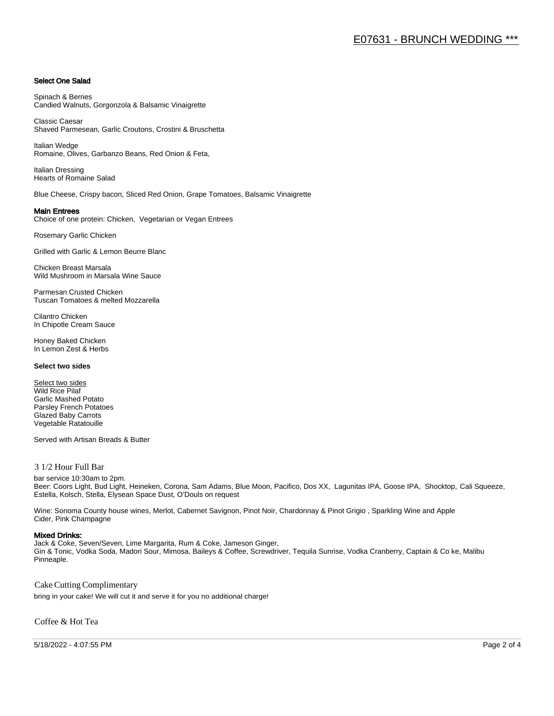#### Select One Salad

Spinach & Berries Candied Walnuts, Gorgonzola & Balsamic Vinaigrette

Classic Caesar Shaved Parmesean, Garlic Croutons, Crostini & Bruschetta

Italian Wedge Romaine, Olives, Garbanzo Beans, Red Onion & Feta,

Italian Dressing Hearts of Romaine Salad

Blue Cheese, Crispy bacon, Sliced Red Onion, Grape Tomatoes, Balsamic Vinaigrette

#### Main Entrees

Choice of one protein: Chicken, Vegetarian or Vegan Entrees

Rosemary Garlic Chicken

Grilled with Garlic & Lemon Beurre Blanc

Chicken Breast Marsala Wild Mushroom in Marsala Wine Sauce

Parmesan Crusted Chicken Tuscan Tomatoes & melted Mozzarella

Cilantro Chicken In Chipotle Cream Sauce

Honey Baked Chicken In Lemon Zest & Herbs

#### **Select two sides**

Select two sides Wild Rice Pilaf Garlic Mashed Potato Parsley French Potatoes Glazed Baby Carrots Vegetable Ratatouille

Served with Artisan Breads & Butter

#### 3 1/2 Hour Full Bar

bar service 10:30am to 2pm. Beer: Coors Light, Bud Light, Heineken, Corona, Sam Adams, Blue Moon, Pacifico, Dos XX, Lagunitas IPA, Goose IPA, Shocktop, Cali Squeeze, Estella, Kolsch, Stella, Elysean Space Dust, O'Douls on request

Wine: Sonoma County house wines, Merlot, Cabernet Savignon, Pinot Noir, Chardonnay & Pinot Grigio , Sparkling Wine and Apple Cider, Pink Champagne

#### Mixed Drinks:

Jack & Coke, Seven/Seven, Lime Margarita, Rum & Coke, Jameson Ginger, Gin & Tonic, Vodka Soda, Madori Sour, Mimosa, Baileys & Coffee, Screwdriver, Tequila Sunrise, Vodka Cranberry, Captain & Co ke, Malibu Pinneaple.

Cake Cutting Complimentary

bring in your cake! We will cut it and serve it for you no additional charge!

Coffee & Hot Tea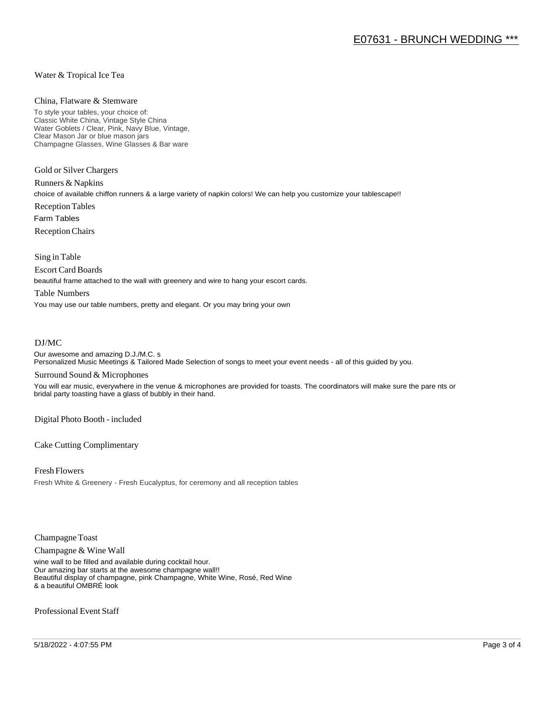#### Water & Tropical Ice Tea

#### China, Flatware & Stemware

To style your tables, your choice of: Classic White China, Vintage Style China Water Goblets / Clear, Pink, Navy Blue, Vintage, Clear Mason Jar or blue mason jars Champagne Glasses, Wine Glasses & Bar ware

Gold or Silver Chargers

Runners & Napkins choice of available chiffon runners & a large variety of napkin colors! We can help you customize your tablescape!! Reception Tables Farm Tables Reception Chairs

Sing in Table

Escort Card Boards

beautiful frame attached to the wall with greenery and wire to hang your escort cards.

#### Table Numbers

You may use our table numbers, pretty and elegant. Or you may bring your own

#### DJ/MC

Our awesome and amazing D.J./M.C. s Personalized Music Meetings & Tailored Made Selection of songs to meet your event needs - all of this guided by you.

#### Surround Sound & Microphones

You will ear music, everywhere in the venue & microphones are provided for toasts. The coordinators will make sure the pare nts or bridal party toasting have a glass of bubbly in their hand.

Digital Photo Booth - included

Cake Cutting Complimentary

Fresh Flowers Fresh White & Greenery - Fresh Eucalyptus, for ceremony and all reception tables

Champagne Toast

Champagne & Wine Wall

wine wall to be filled and available during cocktail hour. Our amazing bar starts at the awesome champagne wall!! Beautiful display of champagne, pink Champagne, White Wine, Rosé, Red Wine & a beautiful OMBRÉ look

Professional Event Staff